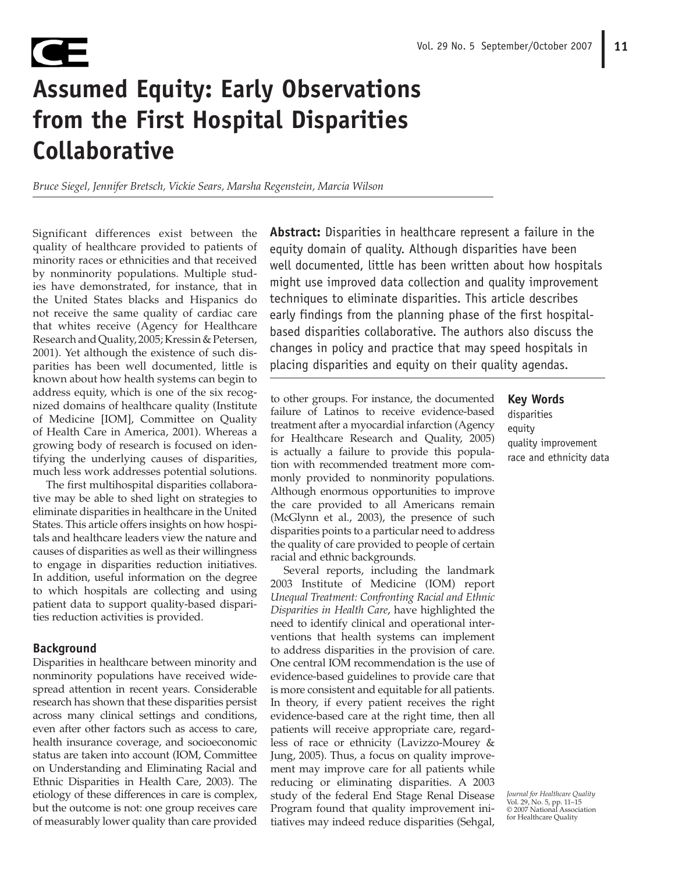# **Assumed Equity: Early Observations from the First Hospital Disparities Collaborative**

*Bruce Siegel, Jennifer Bretsch, Vickie Sears, Marsha Regenstein, Marcia Wilson*

Significant differences exist between the quality of healthcare provided to patients of minority races or ethnicities and that received by nonminority populations. Multiple studies have demonstrated, for instance, that in the United States blacks and Hispanics do not receive the same quality of cardiac care that whites receive (Agency for Healthcare Research and Quality, 2005; Kressin & Petersen, 2001). Yet although the existence of such disparities has been well documented, little is known about how health systems can begin to address equity, which is one of the six recognized domains of healthcare quality (Institute of Medicine [IOM], Committee on Quality of Health Care in America, 2001). Whereas a growing body of research is focused on identifying the underlying causes of disparities, much less work addresses potential solutions.

The first multihospital disparities collaborative may be able to shed light on strategies to eliminate disparities in healthcare in the United States. This article offers insights on how hospitals and healthcare leaders view the nature and causes of disparities as well as their willingness to engage in disparities reduction initiatives. In addition, useful information on the degree to which hospitals are collecting and using patient data to support quality-based disparities reduction activities is provided.

# **Background**

Œ

Disparities in healthcare between minority and nonminority populations have received widespread attention in recent years. Considerable research has shown that these disparities persist across many clinical settings and conditions, even after other factors such as access to care, health insurance coverage, and socioeconomic status are taken into account (IOM, Committee on Understanding and Eliminating Racial and Ethnic Disparities in Health Care, 2003). The etiology of these differences in care is complex, but the outcome is not: one group receives care of measurably lower quality than care provided

**Abstract:** Disparities in healthcare represent a failure in the equity domain of quality. Although disparities have been well documented, little has been written about how hospitals might use improved data collection and quality improvement techniques to eliminate disparities. This article describes early findings from the planning phase of the first hospitalbased disparities collaborative. The authors also discuss the changes in policy and practice that may speed hospitals in placing disparities and equity on their quality agendas.

to other groups. For instance, the documented failure of Latinos to receive evidence-based treatment after a myocardial infarction (Agency for Healthcare Research and Quality, 2005) is actually a failure to provide this population with recommended treatment more commonly provided to nonminority populations. Although enormous opportunities to improve the care provided to all Americans remain (McGlynn et al., 2003), the presence of such disparities points to a particular need to address the quality of care provided to people of certain racial and ethnic backgrounds.

Several reports, including the landmark 2003 Institute of Medicine (IOM) report *Unequal Treatment: Confronting Racial and Ethnic Disparities in Health Care*, have highlighted the need to identify clinical and operational interventions that health systems can implement to address disparities in the provision of care. One central IOM recommendation is the use of evidence-based guidelines to provide care that is more consistent and equitable for all patients. In theory, if every patient receives the right evidence-based care at the right time, then all patients will receive appropriate care, regardless of race or ethnicity (Lavizzo-Mourey & Jung, 2005). Thus, a focus on quality improvement may improve care for all patients while reducing or eliminating disparities. A 2003 study of the federal End Stage Renal Disease Program found that quality improvement initiatives may indeed reduce disparities (Sehgal,

**Key Words** disparities equity quality improvement race and ethnicity data

*Journal for Healthcare Quality* Vol. 29, No. 5, pp. 11–15 © 2007 National Association for Healthcare Quality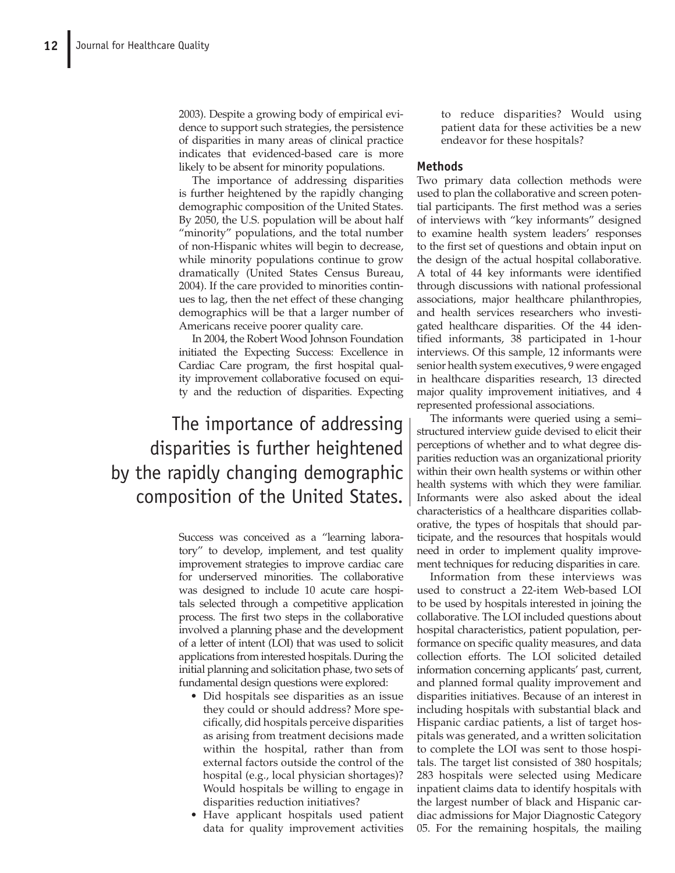2003). Despite a growing body of empirical evidence to support such strategies, the persistence of disparities in many areas of clinical practice indicates that evidenced-based care is more likely to be absent for minority populations.

The importance of addressing disparities is further heightened by the rapidly changing demographic composition of the United States. By 2050, the U.S. population will be about half "minority" populations, and the total number of non-Hispanic whites will begin to decrease, while minority populations continue to grow dramatically (United States Census Bureau, 2004). If the care provided to minorities continues to lag, then the net effect of these changing demographics will be that a larger number of Americans receive poorer quality care.

In 2004, the Robert Wood Johnson Foundation initiated the Expecting Success: Excellence in Cardiac Care program, the first hospital quality improvement collaborative focused on equity and the reduction of disparities. Expecting

The importance of addressing disparities is further heightened by the rapidly changing demographic composition of the United States.

> Success was conceived as a "learning laboratory" to develop, implement, and test quality improvement strategies to improve cardiac care for underserved minorities. The collaborative was designed to include 10 acute care hospitals selected through a competitive application process. The first two steps in the collaborative involved a planning phase and the development of a letter of intent (LOI) that was used to solicit applications from interested hospitals. During the initial planning and solicitation phase, two sets of fundamental design questions were explored:

- Did hospitals see disparities as an issue they could or should address? More specifically, did hospitals perceive disparities as arising from treatment decisions made within the hospital, rather than from external factors outside the control of the hospital (e.g., local physician shortages)? Would hospitals be willing to engage in disparities reduction initiatives?
- Have applicant hospitals used patient data for quality improvement activities

to reduce disparities? Would using patient data for these activities be a new endeavor for these hospitals?

# **Methods**

Two primary data collection methods were used to plan the collaborative and screen potential participants. The first method was a series of interviews with "key informants" designed to examine health system leaders' responses to the first set of questions and obtain input on the design of the actual hospital collaborative. A total of 44 key informants were identified through discussions with national professional associations, major healthcare philanthropies, and health services researchers who investigated healthcare disparities. Of the 44 identified informants, 38 participated in 1-hour interviews. Of this sample, 12 informants were senior health system executives, 9 were engaged in healthcare disparities research, 13 directed major quality improvement initiatives, and 4 represented professional associations.

The informants were queried using a semi– structured interview guide devised to elicit their perceptions of whether and to what degree disparities reduction was an organizational priority within their own health systems or within other health systems with which they were familiar. Informants were also asked about the ideal characteristics of a healthcare disparities collaborative, the types of hospitals that should participate, and the resources that hospitals would need in order to implement quality improvement techniques for reducing disparities in care.

Information from these interviews was used to construct a 22-item Web-based LOI to be used by hospitals interested in joining the collaborative. The LOI included questions about hospital characteristics, patient population, performance on specific quality measures, and data collection efforts. The LOI solicited detailed information concerning applicants' past, current, and planned formal quality improvement and disparities initiatives. Because of an interest in including hospitals with substantial black and Hispanic cardiac patients, a list of target hospitals was generated, and a written solicitation to complete the LOI was sent to those hospitals. The target list consisted of 380 hospitals; 283 hospitals were selected using Medicare inpatient claims data to identify hospitals with the largest number of black and Hispanic cardiac admissions for Major Diagnostic Category 05. For the remaining hospitals, the mailing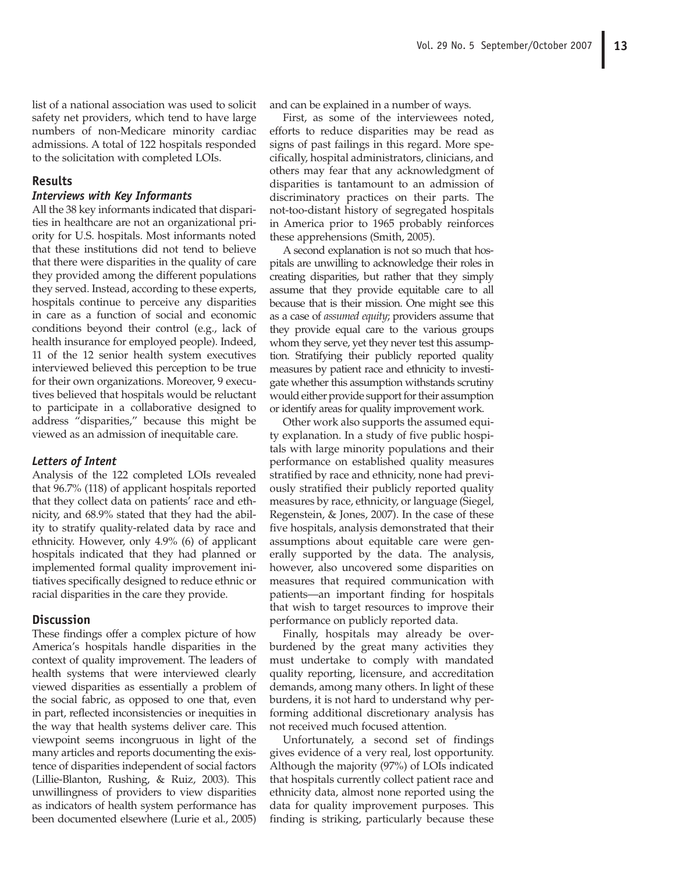list of a national association was used to solicit safety net providers, which tend to have large numbers of non-Medicare minority cardiac admissions. A total of 122 hospitals responded to the solicitation with completed LOIs.

# **Results**

#### *Interviews with Key Informants*

All the 38 key informants indicated that disparities in healthcare are not an organizational priority for U.S. hospitals. Most informants noted that these institutions did not tend to believe that there were disparities in the quality of care they provided among the different populations they served. Instead, according to these experts, hospitals continue to perceive any disparities in care as a function of social and economic conditions beyond their control (e.g., lack of health insurance for employed people). Indeed, 11 of the 12 senior health system executives interviewed believed this perception to be true for their own organizations. Moreover, 9 executives believed that hospitals would be reluctant to participate in a collaborative designed to address "disparities," because this might be viewed as an admission of inequitable care.

#### *Letters of Intent*

Analysis of the 122 completed LOIs revealed that 96.7% (118) of applicant hospitals reported that they collect data on patients' race and ethnicity, and 68.9% stated that they had the ability to stratify quality-related data by race and ethnicity. However, only 4.9% (6) of applicant hospitals indicated that they had planned or implemented formal quality improvement initiatives specifically designed to reduce ethnic or racial disparities in the care they provide.

#### **Discussion**

These findings offer a complex picture of how America's hospitals handle disparities in the context of quality improvement. The leaders of health systems that were interviewed clearly viewed disparities as essentially a problem of the social fabric, as opposed to one that, even in part, reflected inconsistencies or inequities in the way that health systems deliver care. This viewpoint seems incongruous in light of the many articles and reports documenting the existence of disparities independent of social factors (Lillie-Blanton, Rushing, & Ruiz, 2003). This unwillingness of providers to view disparities as indicators of health system performance has been documented elsewhere (Lurie et al., 2005)

and can be explained in a number of ways.

First, as some of the interviewees noted, efforts to reduce disparities may be read as signs of past failings in this regard. More specifically, hospital administrators, clinicians, and others may fear that any acknowledgment of disparities is tantamount to an admission of discriminatory practices on their parts. The not-too-distant history of segregated hospitals in America prior to 1965 probably reinforces these apprehensions (Smith, 2005).

A second explanation is not so much that hospitals are unwilling to acknowledge their roles in creating disparities, but rather that they simply assume that they provide equitable care to all because that is their mission. One might see this as a case of *assumed equity*; providers assume that they provide equal care to the various groups whom they serve, yet they never test this assumption. Stratifying their publicly reported quality measures by patient race and ethnicity to investigate whether this assumption withstands scrutiny would either provide support for their assumption or identify areas for quality improvement work.

Other work also supports the assumed equity explanation. In a study of five public hospitals with large minority populations and their performance on established quality measures stratified by race and ethnicity, none had previously stratified their publicly reported quality measures by race, ethnicity, or language (Siegel, Regenstein, & Jones, 2007). In the case of these five hospitals, analysis demonstrated that their assumptions about equitable care were generally supported by the data. The analysis, however, also uncovered some disparities on measures that required communication with patients—an important finding for hospitals that wish to target resources to improve their performance on publicly reported data.

Finally, hospitals may already be overburdened by the great many activities they must undertake to comply with mandated quality reporting, licensure, and accreditation demands, among many others. In light of these burdens, it is not hard to understand why performing additional discretionary analysis has not received much focused attention.

Unfortunately, a second set of findings gives evidence of a very real, lost opportunity. Although the majority (97%) of LOIs indicated that hospitals currently collect patient race and ethnicity data, almost none reported using the data for quality improvement purposes. This finding is striking, particularly because these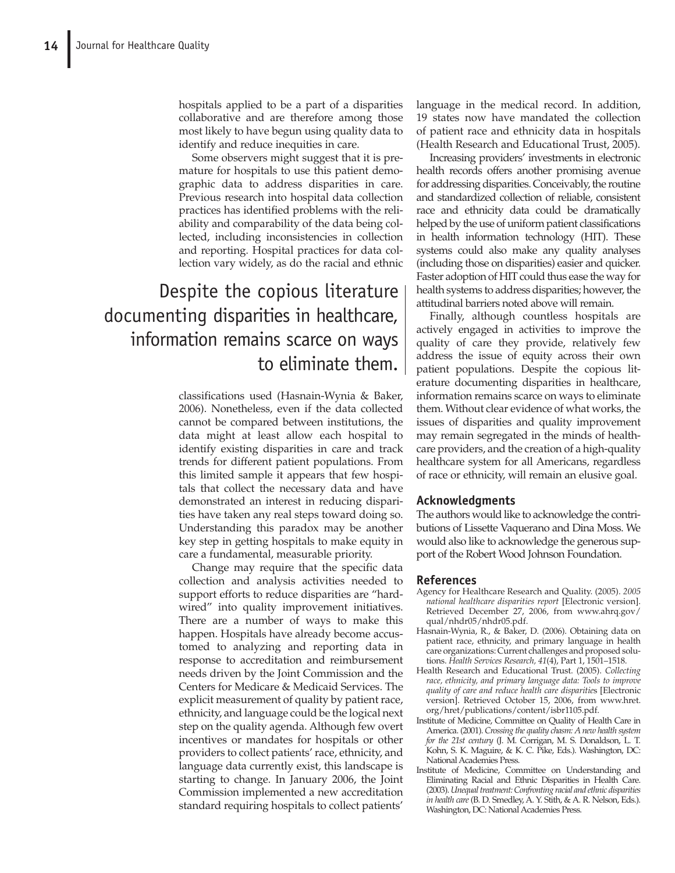hospitals applied to be a part of a disparities collaborative and are therefore among those most likely to have begun using quality data to identify and reduce inequities in care.

Some observers might suggest that it is premature for hospitals to use this patient demographic data to address disparities in care. Previous research into hospital data collection practices has identified problems with the reliability and comparability of the data being collected, including inconsistencies in collection and reporting. Hospital practices for data collection vary widely, as do the racial and ethnic

# Despite the copious literature documenting disparities in healthcare, information remains scarce on ways to eliminate them.

classifications used (Hasnain-Wynia & Baker, 2006). Nonetheless, even if the data collected cannot be compared between institutions, the data might at least allow each hospital to identify existing disparities in care and track trends for different patient populations. From this limited sample it appears that few hospitals that collect the necessary data and have demonstrated an interest in reducing disparities have taken any real steps toward doing so. Understanding this paradox may be another key step in getting hospitals to make equity in care a fundamental, measurable priority.

Change may require that the specific data collection and analysis activities needed to support efforts to reduce disparities are "hardwired" into quality improvement initiatives. There are a number of ways to make this happen. Hospitals have already become accustomed to analyzing and reporting data in response to accreditation and reimbursement needs driven by the Joint Commission and the Centers for Medicare & Medicaid Services. The explicit measurement of quality by patient race, ethnicity, and language could be the logical next step on the quality agenda. Although few overt incentives or mandates for hospitals or other providers to collect patients' race, ethnicity, and language data currently exist, this landscape is starting to change. In January 2006, the Joint Commission implemented a new accreditation standard requiring hospitals to collect patients'

language in the medical record. In addition, 19 states now have mandated the collection of patient race and ethnicity data in hospitals (Health Research and Educational Trust, 2005).

Increasing providers' investments in electronic health records offers another promising avenue for addressing disparities. Conceivably, the routine and standardized collection of reliable, consistent race and ethnicity data could be dramatically helped by the use of uniform patient classifications in health information technology (HIT). These systems could also make any quality analyses (including those on disparities) easier and quicker. Faster adoption of HIT could thus ease the way for health systems to address disparities; however, the attitudinal barriers noted above will remain.

Finally, although countless hospitals are actively engaged in activities to improve the quality of care they provide, relatively few address the issue of equity across their own patient populations. Despite the copious literature documenting disparities in healthcare, information remains scarce on ways to eliminate them. Without clear evidence of what works, the issues of disparities and quality improvement may remain segregated in the minds of healthcare providers, and the creation of a high-quality healthcare system for all Americans, regardless of race or ethnicity, will remain an elusive goal.

# **Acknowledgments**

The authors would like to acknowledge the contributions of Lissette Vaquerano and Dina Moss. We would also like to acknowledge the generous support of the Robert Wood Johnson Foundation.

# **References**

- Agency for Healthcare Research and Quality. (2005). *2005 national healthcare disparities report* [Electronic version]. Retrieved December 27, 2006, from www.ahrq.gov/ qual/nhdr05/nhdr05.pdf.
- Hasnain-Wynia, R., & Baker, D. (2006). Obtaining data on patient race, ethnicity, and primary language in health care organizations: Current challenges and proposed solutions. *Health Services Research, 41*(4), Part 1, 1501–1518.
- Health Research and Educational Trust. (2005). *Collecting race, ethnicity, and primary language data: Tools to improve quality of care and reduce health care disparitie*s [Electronic version]. Retrieved October 15, 2006, from www.hret. org/hret/publications/content/isbr1105.pdf.
- Institute of Medicine, Committee on Quality of Health Care in America. (2001). *Crossing the quality chasm: A new health system for the 21st century* (J. M. Corrigan, M. S. Donaldson, L. T. Kohn, S. K. Maguire, & K. C. Pike, Eds.). Washington, DC: National Academies Press.
- Institute of Medicine, Committee on Understanding and Eliminating Racial and Ethnic Disparities in Health Care. (2003). *Unequal treatment: Confronting racial and ethnic disparities in health care* (B. D. Smedley, A. Y. Stith, & A. R. Nelson, Eds.). Washington, DC: National Academies Press.